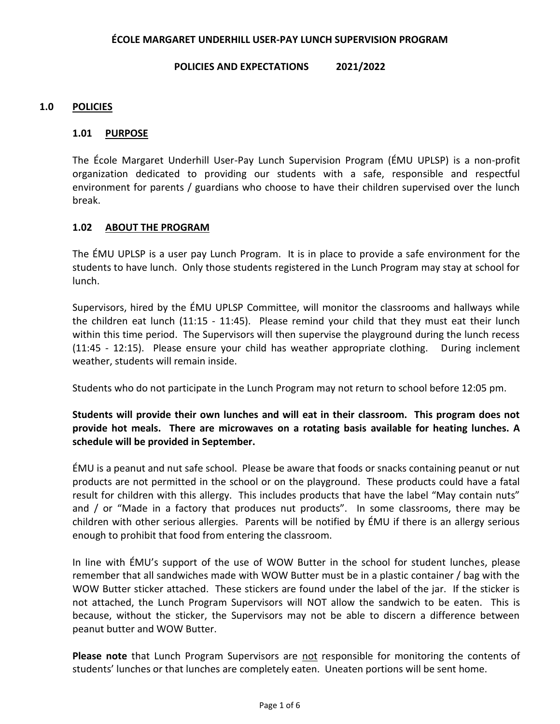### **ÉCOLE MARGARET UNDERHILL USER-PAY LUNCH SUPERVISION PROGRAM**

#### **POLICIES AND EXPECTATIONS 2021/2022**

### **1.0 POLICIES**

### **1.01 PURPOSE**

The École Margaret Underhill User-Pay Lunch Supervision Program (ÉMU UPLSP) is a non-profit organization dedicated to providing our students with a safe, responsible and respectful environment for parents / guardians who choose to have their children supervised over the lunch break.

### **1.02 ABOUT THE PROGRAM**

The ÉMU UPLSP is a user pay Lunch Program. It is in place to provide a safe environment for the students to have lunch. Only those students registered in the Lunch Program may stay at school for lunch.

Supervisors, hired by the ÉMU UPLSP Committee, will monitor the classrooms and hallways while the children eat lunch (11:15 - 11:45). Please remind your child that they must eat their lunch within this time period. The Supervisors will then supervise the playground during the lunch recess (11:45 - 12:15). Please ensure your child has weather appropriate clothing. During inclement weather, students will remain inside.

Students who do not participate in the Lunch Program may not return to school before 12:05 pm.

# **Students will provide their own lunches and will eat in their classroom. This program does not provide hot meals. There are microwaves on a rotating basis available for heating lunches. A schedule will be provided in September.**

ÉMU is a peanut and nut safe school. Please be aware that foods or snacks containing peanut or nut products are not permitted in the school or on the playground. These products could have a fatal result for children with this allergy. This includes products that have the label "May contain nuts" and / or "Made in a factory that produces nut products". In some classrooms, there may be children with other serious allergies. Parents will be notified by ÉMU if there is an allergy serious enough to prohibit that food from entering the classroom.

In line with ÉMU's support of the use of WOW Butter in the school for student lunches, please remember that all sandwiches made with WOW Butter must be in a plastic container / bag with the WOW Butter sticker attached. These stickers are found under the label of the jar. If the sticker is not attached, the Lunch Program Supervisors will NOT allow the sandwich to be eaten. This is because, without the sticker, the Supervisors may not be able to discern a difference between peanut butter and WOW Butter.

**Please note** that Lunch Program Supervisors are not responsible for monitoring the contents of students' lunches or that lunches are completely eaten. Uneaten portions will be sent home.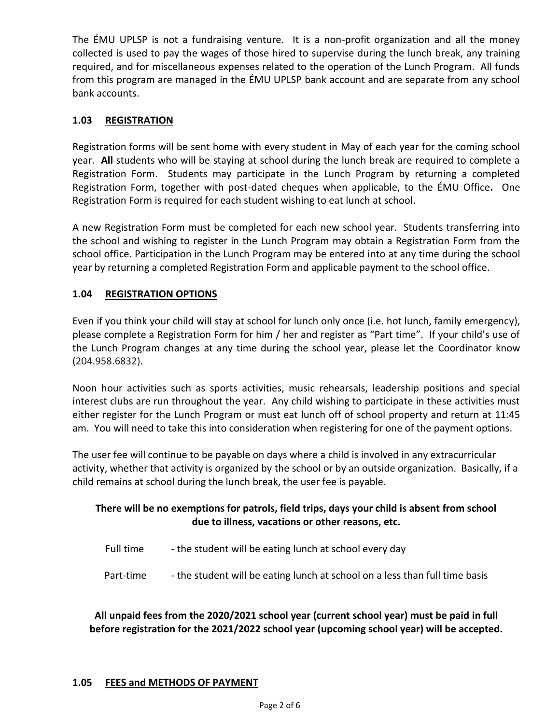The ÉMU UPLSP is not a fundraising venture. It is a non-profit organization and all the money collected is used to pay the wages of those hired to supervise during the lunch break, any training required, and for miscellaneous expenses related to the operation of the Lunch Program. All funds from this program are managed in the ÉMU UPLSP bank account and are separate from any school bank accounts.

# **1.03 REGISTRATION**

Registration forms will be sent home with every student in May of each year for the coming school year. **All** students who will be staying at school during the lunch break are required to complete a Registration Form. Students may participate in the Lunch Program by returning a completed Registration Form, together with post-dated cheques when applicable, to the ÉMU Office**.** One Registration Form is required for each student wishing to eat lunch at school.

A new Registration Form must be completed for each new school year. Students transferring into the school and wishing to register in the Lunch Program may obtain a Registration Form from the school office. Participation in the Lunch Program may be entered into at any time during the school year by returning a completed Registration Form and applicable payment to the school office.

# **1.04 REGISTRATION OPTIONS**

Even if you think your child will stay at school for lunch only once (i.e. hot lunch, family emergency), please complete a Registration Form for him / her and register as "Part time". If your child's use of the Lunch Program changes at any time during the school year, please let the Coordinator know (204.958.6832).

Noon hour activities such as sports activities, music rehearsals, leadership positions and special interest clubs are run throughout the year. Any child wishing to participate in these activities must either register for the Lunch Program or must eat lunch off of school property and return at 11:45 am. You will need to take this into consideration when registering for one of the payment options.

The user fee will continue to be payable on days where a child is involved in any extracurricular activity, whether that activity is organized by the school or by an outside organization. Basically, if a child remains at school during the lunch break, the user fee is payable.

# **There will be no exemptions for patrols, field trips, days your child is absent from school due to illness, vacations or other reasons, etc.**

- Full time the student will be eating lunch at school every day
- Part-time the student will be eating lunch at school on a less than full time basis

**All unpaid fees from the 2020/2021 school year (current school year) must be paid in full before registration for the 2021/2022 school year (upcoming school year) will be accepted.**

### **1.05 FEES and METHODS OF PAYMENT**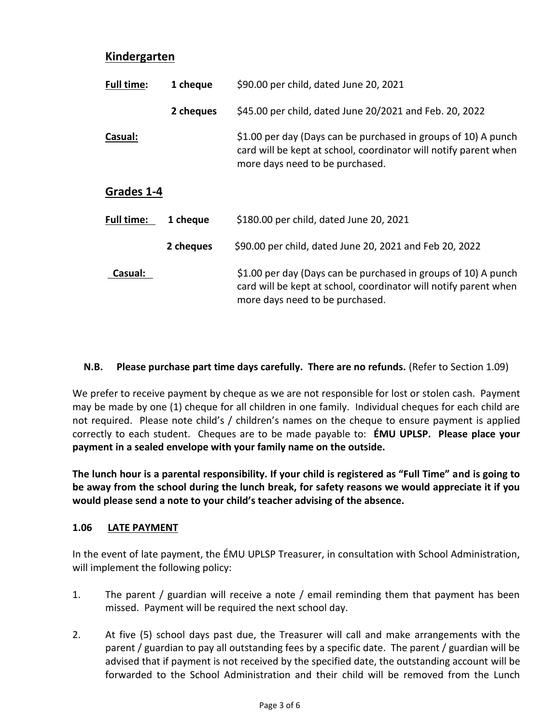# **Kindergarten**

| Full time:        | 1 cheque  | \$90.00 per child, dated June 20, 2021                                                                                                                                |
|-------------------|-----------|-----------------------------------------------------------------------------------------------------------------------------------------------------------------------|
|                   | 2 cheques | \$45.00 per child, dated June 20/2021 and Feb. 20, 2022                                                                                                               |
| Casual:           |           | \$1.00 per day (Days can be purchased in groups of 10) A punch<br>card will be kept at school, coordinator will notify parent when<br>more days need to be purchased. |
| Grades 1-4        |           |                                                                                                                                                                       |
| <b>Full time:</b> | 1 cheque  | \$180.00 per child, dated June 20, 2021                                                                                                                               |
|                   | 2 cheques | \$90.00 per child, dated June 20, 2021 and Feb 20, 2022                                                                                                               |
| Casual:           |           | \$1.00 per day (Days can be purchased in groups of 10) A punch<br>card will be kept at school, coordinator will notify parent when<br>more days need to be purchased. |

## **N.B. Please purchase part time days carefully. There are no refunds.** (Refer to Section 1.09)

We prefer to receive payment by cheque as we are not responsible for lost or stolen cash. Payment may be made by one (1) cheque for all children in one family. Individual cheques for each child are not required. Please note child's / children's names on the cheque to ensure payment is applied correctly to each student. Cheques are to be made payable to: **ÉMU UPLSP. Please place your payment in a sealed envelope with your family name on the outside.**

**The lunch hour is a parental responsibility. If your child is registered as "Full Time" and is going to be away from the school during the lunch break, for safety reasons we would appreciate it if you would please send a note to your child's teacher advising of the absence.**

### **1.06 LATE PAYMENT**

In the event of late payment, the ÉMU UPLSP Treasurer, in consultation with School Administration, will implement the following policy:

- 1. The parent / guardian will receive a note / email reminding them that payment has been missed. Payment will be required the next school day.
- 2. At five (5) school days past due, the Treasurer will call and make arrangements with the parent / guardian to pay all outstanding fees by a specific date. The parent / guardian will be advised that if payment is not received by the specified date, the outstanding account will be forwarded to the School Administration and their child will be removed from the Lunch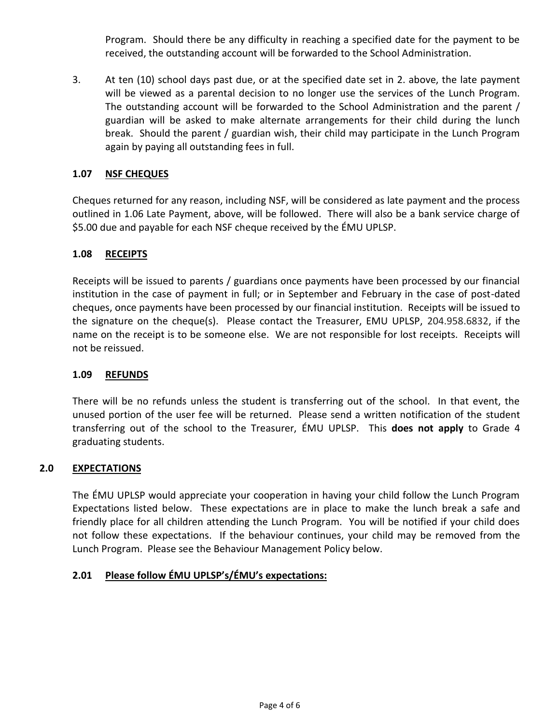Program. Should there be any difficulty in reaching a specified date for the payment to be received, the outstanding account will be forwarded to the School Administration.

3. At ten (10) school days past due, or at the specified date set in 2. above, the late payment will be viewed as a parental decision to no longer use the services of the Lunch Program. The outstanding account will be forwarded to the School Administration and the parent / guardian will be asked to make alternate arrangements for their child during the lunch break. Should the parent / guardian wish, their child may participate in the Lunch Program again by paying all outstanding fees in full.

## **1.07 NSF CHEQUES**

Cheques returned for any reason, including NSF, will be considered as late payment and the process outlined in 1.06 Late Payment, above, will be followed. There will also be a bank service charge of \$5.00 due and payable for each NSF cheque received by the ÉMU UPLSP.

### **1.08 RECEIPTS**

Receipts will be issued to parents / guardians once payments have been processed by our financial institution in the case of payment in full; or in September and February in the case of post-dated cheques, once payments have been processed by our financial institution. Receipts will be issued to the signature on the cheque(s). Please contact the Treasurer, EMU UPLSP, 204.958.6832, if the name on the receipt is to be someone else. We are not responsible for lost receipts. Receipts will not be reissued.

### **1.09 REFUNDS**

There will be no refunds unless the student is transferring out of the school. In that event, the unused portion of the user fee will be returned. Please send a written notification of the student transferring out of the school to the Treasurer, ÉMU UPLSP.This **does not apply** to Grade 4 graduating students.

### **2.0 EXPECTATIONS**

The ÉMU UPLSP would appreciate your cooperation in having your child follow the Lunch Program Expectations listed below. These expectations are in place to make the lunch break a safe and friendly place for all children attending the Lunch Program. You will be notified if your child does not follow these expectations. If the behaviour continues, your child may be removed from the Lunch Program. Please see the Behaviour Management Policy below.

## **2.01 Please follow ÉMU UPLSP's/ÉMU's expectations:**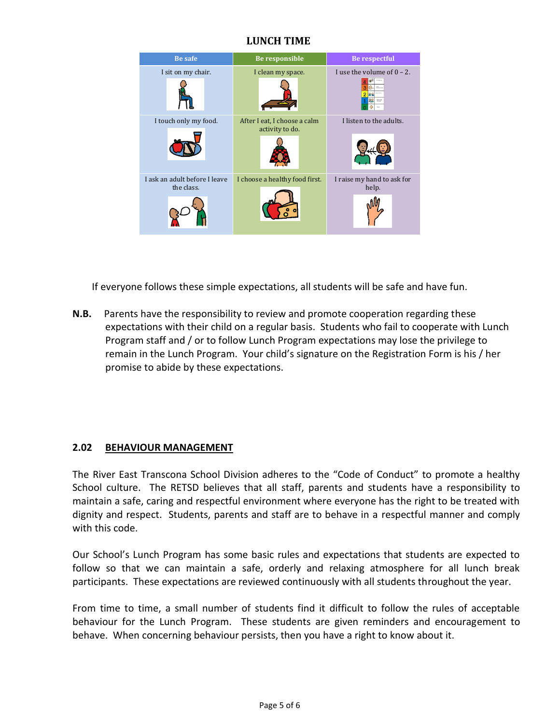# **LUNCH TIME**



If everyone follows these simple expectations, all students will be safe and have fun.

**N.B.** Parents have the responsibility to review and promote cooperation regarding these expectations with their child on a regular basis. Students who fail to cooperate with Lunch Program staff and / or to follow Lunch Program expectations may lose the privilege to remain in the Lunch Program. Your child's signature on the Registration Form is his / her promise to abide by these expectations.

# **2.02 BEHAVIOUR MANAGEMENT**

The River East Transcona School Division adheres to the "Code of Conduct" to promote a healthy School culture. The RETSD believes that all staff, parents and students have a responsibility to maintain a safe, caring and respectful environment where everyone has the right to be treated with dignity and respect. Students, parents and staff are to behave in a respectful manner and comply with this code.

Our School's Lunch Program has some basic rules and expectations that students are expected to follow so that we can maintain a safe, orderly and relaxing atmosphere for all lunch break participants. These expectations are reviewed continuously with all students throughout the year.

From time to time, a small number of students find it difficult to follow the rules of acceptable behaviour for the Lunch Program. These students are given reminders and encouragement to behave. When concerning behaviour persists, then you have a right to know about it.